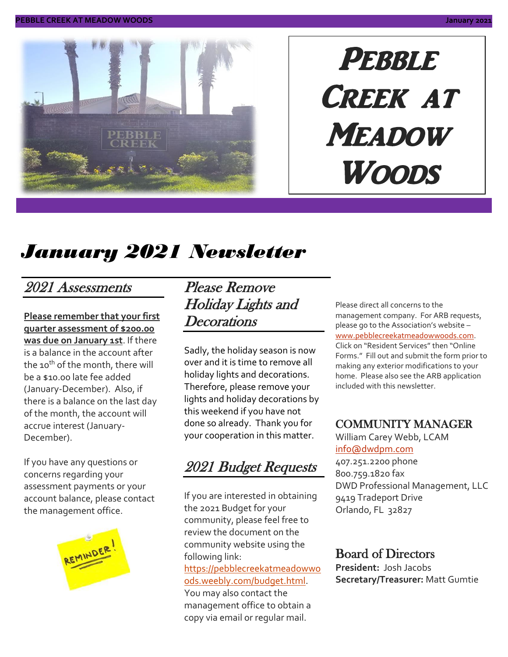

# PEBBLE CREEK AT **MEADOW** Woods

# *January 2021 Newsletter*

### 2021 Assessments

**Please remember that your first quarter assessment of \$200.00 was due on January 1st**. If there is a balance in the account after the 10<sup>th</sup> of the month, there will be a \$10.00 late fee added (January-December). Also, if there is a balance on the last day of the month, the account will accrue interest (January-December).

If you have any questions or concerns regarding your assessment payments or your account balance, please contact the management office.



Please Remove Holiday Lights and **Decorations** 

Sadly, the holiday season is now over and it is time to remove all holiday lights and decorations. Therefore, please remove your lights and holiday decorations by this weekend if you have not done so already. Thank you for your cooperation in this matter.

2021 Budget Requests

If you are interested in obtaining the 2021 Budget for your community, please feel free to review the document on the community website using the following link: [https://pebblecreekatmeadowwo](https://pebblecreekatmeadowwoods.weebly.com/budget.html) [ods.weebly.com/budget.html.](https://pebblecreekatmeadowwoods.weebly.com/budget.html) You may also contact the management office to obtain a copy via email or regular mail.

Please direct all concerns to the management company. For ARB requests, please go to the Association's website – [www.pebblecreekatmeadowwoods.com.](http://www.pebblecreekatmeadowwoods.com/) Click on "Resident Services" then "Online Forms." Fill out and submit the form prior to making any exterior modifications to your home. Please also see the ARB application included with this newsletter.

#### COMMUNITY MANAGER

William Carey Webb, LCAM [info@dwdpm.com](mailto:info@dwdpm.com) 

407.251.2200 phone 800.759.1820 fax DWD Professional Management, LLC 9419 Tradeport Drive Orlando, FL 32827

#### Board of Directors

**President:** Josh Jacobs **Secretary/Treasurer:** Matt Gumtie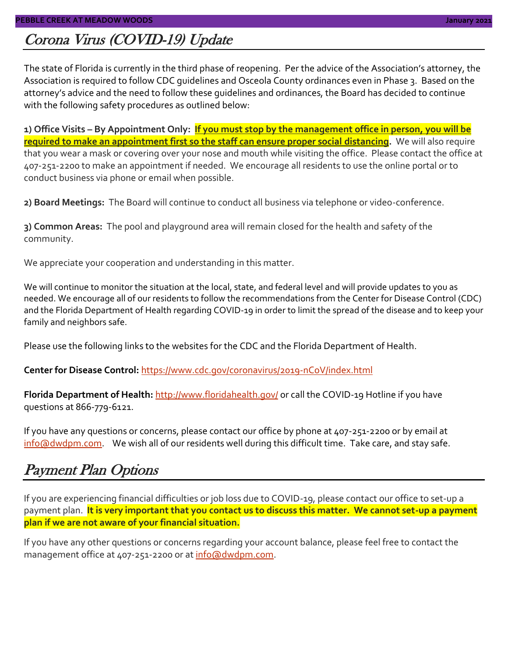### Corona Virus (COVID-19) Update

The state of Florida is currently in the third phase of reopening. Per the advice of the Association's attorney, the Association is required to follow CDC guidelines and Osceola County ordinances even in Phase 3. Based on the attorney's advice and the need to follow these guidelines and ordinances, the Board has decided to continue with the following safety procedures as outlined below:

**1) Office Visits – By Appointment Only: If you must stop by the management office in person, you will be required to make an appointment first so the staff can ensure proper social distancing.** We will also require that you wear a mask or covering over your nose and mouth while visiting the office. Please contact the office at 407-251-2200 to make an appointment if needed. We encourage all residents to use the online portal or to conduct business via phone or email when possible.

**2) Board Meetings:** The Board will continue to conduct all business via telephone or video-conference.

**3) Common Areas:** The pool and playground area will remain closed for the health and safety of the community.

We appreciate your cooperation and understanding in this matter.

We will continue to monitor the situation at the local, state, and federal level and will provide updates to you as needed. We encourage all of our residents to follow the recommendations from the Center for Disease Control (CDC) and the Florida Department of Health regarding COVID-19 in order to limit the spread of the disease and to keep your family and neighbors safe.

Please use the following links to the websites for the CDC and the Florida Department of Health.

**Center for Disease Control:** <https://www.cdc.gov/coronavirus/2019-nCoV/index.html>

Florida Department of Health: <http://www.floridahealth.gov/> or call the COVID-19 Hotline if you have questions at 866-779-6121.

If you have any questions or concerns, please contact our office by phone at 407-251-2200 or by email at [info@dwdpm.com.](mailto:info@dwdpm.com) We wish all of our residents well during this difficult time. Take care, and stay safe.

### Payment Plan Options

If you are experiencing financial difficulties or job loss due to COVID-19, please contact our office to set-up a payment plan. It is very important that you contact us to discuss this matter. We cannot set-up a payment **plan if we are not aware of your financial situation.**

If you have any other questions or concerns regarding your account balance, please feel free to contact the management office at 407-251-2200 or at [info@dwdpm.com.](mailto:info@dwdpm.com)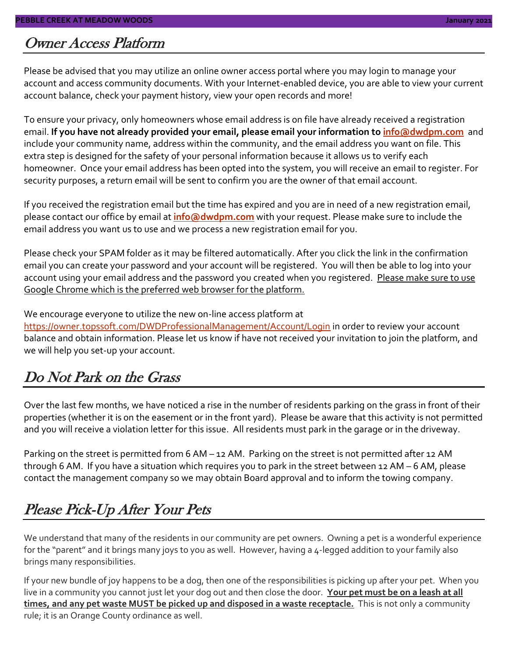#### Owner Access Platform

Please be advised that you may utilize an online owner access portal where you may login to manage your account and access community documents. With your Internet-enabled device, you are able to view your current account balance, check your payment history, view your open records and more!

To ensure your privacy, only homeowners whose email address is on file have already received a registration email. **If you have not already provided your email, please email your information to [info@dwdpm.com](mailto:info@dwdpm.com)** and include your community name, address within the community, and the email address you want on file. This extra step is designed for the safety of your personal information because it allows us to verify each homeowner. Once your email address has been opted into the system, you will receive an email to register. For security purposes, a return email will be sent to confirm you are the owner of that email account.

If you received the registration email but the time has expired and you are in need of a new registration email, please contact our office by email at **[info@dwdpm.com](mailto:info@dwdpm.com)** with your request. Please make sure to include the email address you want us to use and we process a new registration email for you.

Please check your SPAM folder as it may be filtered automatically. After you click the link in the confirmation email you can create your password and your account will be registered. You will then be able to log into your account using your email address and the password you created when you registered. Please make sure to use Google Chrome which is the preferred web browser for the platform.

We encourage everyone to utilize the new on-line access platform at <https://owner.topssoft.com/DWDProfessionalManagement/Account/Login> in order to review your account balance and obtain information. Please let us know if have not received your invitation to join the platform, and

### Do Not Park on the Grass

we will help you set-up your account.

Over the last few months, we have noticed a rise in the number of residents parking on the grass in front of their properties (whether it is on the easement or in the front yard). Please be aware that this activity is not permitted and you will receive a violation letter for this issue. All residents must park in the garage or in the driveway.

Parking on the street is permitted from 6 AM – 12 AM. Parking on the street is not permitted after 12 AM through 6 AM. If you have a situation which requires you to park in the street between 12 AM – 6 AM, please contact the management company so we may obtain Board approval and to inform the towing company.

### Please Pick-Up After Your Pets

We understand that many of the residents in our community are pet owners. Owning a pet is a wonderful experience for the "parent" and it brings many joys to you as well. However, having a 4-legged addition to your family also brings many responsibilities.

If your new bundle of joy happens to be a dog, then one of the responsibilities is picking up after your pet. When you live in a community you cannot just let your dog out and then close the door. **Your pet must be on a leash at all times, and any pet waste MUST be picked up and disposed in a waste receptacle.** This is not only a community rule; it is an Orange County ordinance as well.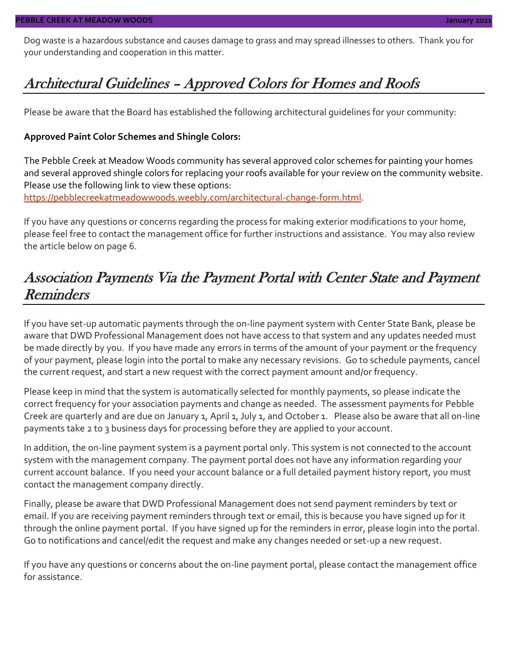Dog waste is a hazardous substance and causes damage to grass and may spread illnesses to others. Thank you for your understanding and cooperation in this matter.

### Architectural Guidelines – Approved Colors for Homes and Roofs

Please be aware that the Board has established the following architectural guidelines for your community:

#### **Approved Paint Color Schemes and Shingle Colors:**

The Pebble Creek at Meadow Woods community has several approved color schemes for painting your homes and several approved shingle colors for replacing your roofs available for your review on the community website. Please use the following link to view these options: [https://pebblecreekatmeadowwoods.weebly.com/architectural-change-form.html.](https://pebblecreekatmeadowwoods.weebly.com/architectural-change-form.html)

If you have any questions or concerns regarding the process for making exterior modifications to your home, please feel free to contact the management office for further instructions and assistance. You may also review the article below on page 6.

### Association Payments Via the Payment Portal with Center State and Payment Reminders

If you have set-up automatic payments through the on-line payment system with Center State Bank, please be aware that DWD Professional Management does not have access to that system and any updates needed must be made directly by you. If you have made any errors in terms of the amount of your payment or the frequency of your payment, please login into the portal to make any necessary revisions. Go to schedule payments, cancel the current request, and start a new request with the correct payment amount and/or frequency.

Please keep in mind that the system is automatically selected for monthly payments, so please indicate the correct frequency for your association payments and change as needed. The assessment payments for Pebble Creek are quarterly and are due on January 1, April 1, July 1, and October 1. Please also be aware that all on-line payments take 2 to 3 business days for processing before they are applied to your account.

In addition, the on-line payment system is a payment portal only. This system is not connected to the account system with the management company. The payment portal does not have any information regarding your current account balance. If you need your account balance or a full detailed payment history report, you must contact the management company directly.

Finally, please be aware that DWD Professional Management does not send payment reminders by text or email. If you are receiving payment reminders through text or email, this is because you have signed up for it through the online payment portal. If you have signed up for the reminders in error, please login into the portal. Go to notifications and cancel/edit the request and make any changes needed or set-up a new request.

If you have any questions or concerns about the on-line payment portal, please contact the management office for assistance.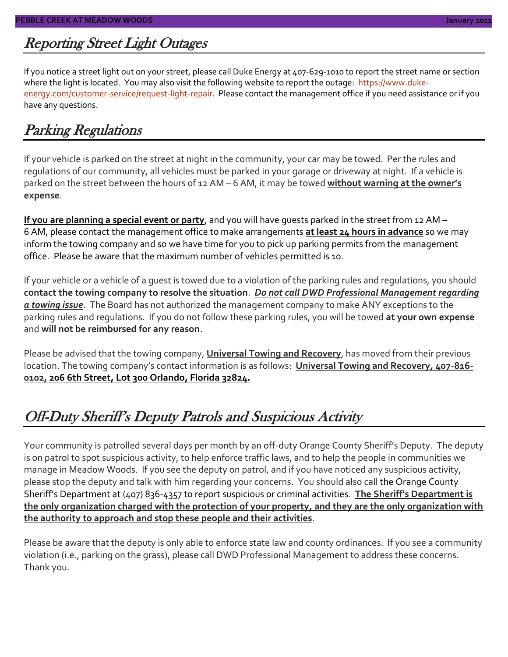### Reporting Street Light Outages

If you notice a street light out on your street, please call Duke Energy at 407-629-1010 to report the street name or section where the light is located. You may also visit the following website to report the outage: [https://www.duke](https://www.duke-energy.com/customer-service/request-light-repair)[energy.com/customer-service/request-light-repair.](https://www.duke-energy.com/customer-service/request-light-repair) Please contact the management office if you need assistance or if you have any questions.

### Parking Regulations

If your vehicle is parked on the street at night in the community, your car may be towed. Per the rules and regulations of our community, all vehicles must be parked in your garage or driveway at night. If a vehicle is parked on the street between the hours of 12 AM – 6 AM, it may be towed **without warning at the owner's expense**.

**If you are planning a special event or party**, and you will have guests parked in the street from 12 AM – 6 AM, please contact the management office to make arrangements **at least 24 hours in advance** so we may inform the towing company and so we have time for you to pick up parking permits from the management office. Please be aware that the maximum number of vehicles permitted is 10.

If your vehicle or a vehicle of a guest is towed due to a violation of the parking rules and regulations, you should **contact the towing company to resolve the situation**. *Do not call DWD Professional Management regarding a towing issue*. The Board has not authorized the management company to make ANY exceptions to the parking rules and regulations. If you do not follow these parking rules, you will be towed **at your own expense** and **will not be reimbursed for any reason**.

Please be advised that the towing company, **Universal Towing and Recovery**, has moved from their previous location. The towing company's contact information is as follows: **Universal Towing and Recovery, 407-816- 0102, 206 6th Street, Lot 300 Orlando, Florida 32824.**

### Off-Duty Sheriff's Deputy Patrols and Suspicious Activity

Your community is patrolled several days per month by an off-duty Orange County Sheriff's Deputy. The deputy is on patrol to spot suspicious activity, to help enforce traffic laws, and to help the people in communities we manage in Meadow Woods. If you see the deputy on patrol, and if you have noticed any suspicious activity, please stop the deputy and talk with him regarding your concerns. You should also call the Orange County Sheriff's Department at (407) 836-4357 to report suspicious or criminal activities. **The Sheriff's Department is the only organization charged with the protection of your property, and they are the only organization with the authority to approach and stop these people and their activities**.

Please be aware that the deputy is only able to enforce state law and county ordinances. If you see a community violation (i.e., parking on the grass), please call DWD Professional Management to address these concerns. Thank you.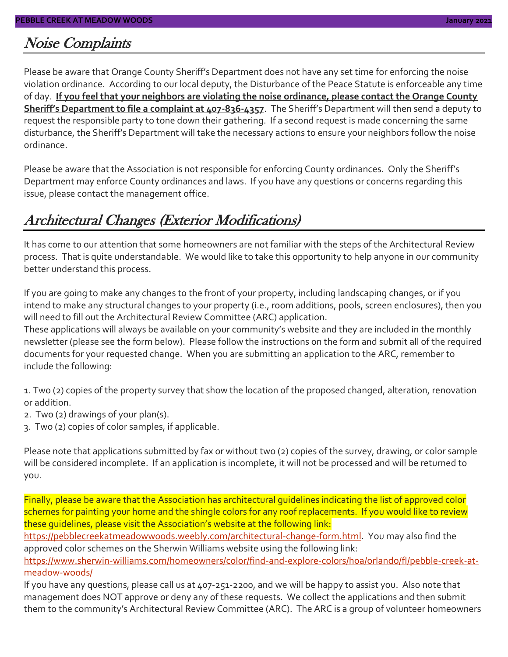#### Noise Complaints

Please be aware that Orange County Sheriff's Department does not have any set time for enforcing the noise violation ordinance. According to our local deputy, the Disturbance of the Peace Statute is enforceable any time of day. **If you feel that your neighbors are violating the noise ordinance, please contact the Orange County Sheriff's Department to file a complaint at 407-836-4357**. The Sheriff's Department will then send a deputy to request the responsible party to tone down their gathering. If a second request is made concerning the same disturbance, the Sheriff's Department will take the necessary actions to ensure your neighbors follow the noise ordinance.

Please be aware that the Association is not responsible for enforcing County ordinances. Only the Sheriff's Department may enforce County ordinances and laws. If you have any questions or concerns regarding this issue, please contact the management office.

### Architectural Changes (Exterior Modifications)

It has come to our attention that some homeowners are not familiar with the steps of the Architectural Review process. That is quite understandable. We would like to take this opportunity to help anyone in our community better understand this process.

If you are going to make any changes to the front of your property, including landscaping changes, or if you intend to make any structural changes to your property (i.e., room additions, pools, screen enclosures), then you will need to fill out the Architectural Review Committee (ARC) application.

These applications will always be available on your community's website and they are included in the monthly newsletter (please see the form below). Please follow the instructions on the form and submit all of the required documents for your requested change. When you are submitting an application to the ARC, remember to include the following:

1. Two (2) copies of the property survey that show the location of the proposed changed, alteration, renovation or addition.

- 2. Two (2) drawings of your plan(s).
- 3. Two (2) copies of color samples, if applicable.

Please note that applications submitted by fax or without two (2) copies of the survey, drawing, or color sample will be considered incomplete. If an application is incomplete, it will not be processed and will be returned to you.

Finally, please be aware that the Association has architectural guidelines indicating the list of approved color schemes for painting your home and the shingle colors for any roof replacements. If you would like to review these guidelines, please visit the Association's website at the following link:

[https://pebblecreekatmeadowwoods.weebly.com/architectural-change-form.html.](https://pebblecreekatmeadowwoods.weebly.com/architectural-change-form.html) You may also find the approved color schemes on the Sherwin Williams website using the following link:

[https://www.sherwin-williams.com/homeowners/color/find-and-explore-colors/hoa/orlando/fl/pebble-creek-at](https://www.sherwin-williams.com/homeowners/color/find-and-explore-colors/hoa/orlando/fl/pebble-creek-at-meadow-woods/)[meadow-woods/](https://www.sherwin-williams.com/homeowners/color/find-and-explore-colors/hoa/orlando/fl/pebble-creek-at-meadow-woods/)

If you have any questions, please call us at 407-251-2200, and we will be happy to assist you. Also note that management does NOT approve or deny any of these requests. We collect the applications and then submit them to the community's Architectural Review Committee (ARC). The ARC is a group of volunteer homeowners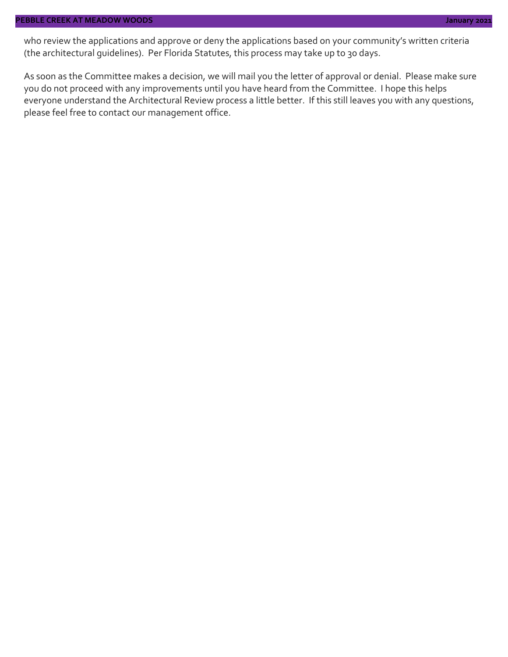who review the applications and approve or deny the applications based on your community's written criteria (the architectural guidelines). Per Florida Statutes, this process may take up to 30 days.

As soon as the Committee makes a decision, we will mail you the letter of approval or denial. Please make sure you do not proceed with any improvements until you have heard from the Committee. I hope this helps everyone understand the Architectural Review process a little better. If this still leaves you with any questions, please feel free to contact our management office.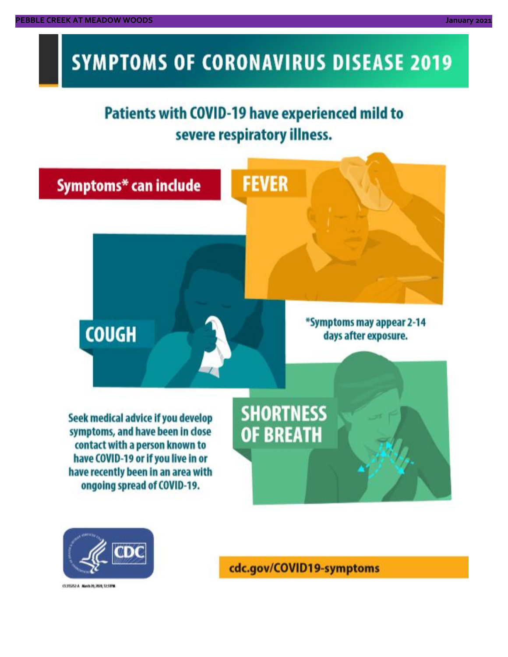# **SYMPTOMS OF CORONAVIRUS DISEASE 2019**

## **Patients with COVID-19 have experienced mild to** severe respiratory illness.





03/02/14 Novis 20, 2020, 12:59 W

cdc.gov/COVID19-symptoms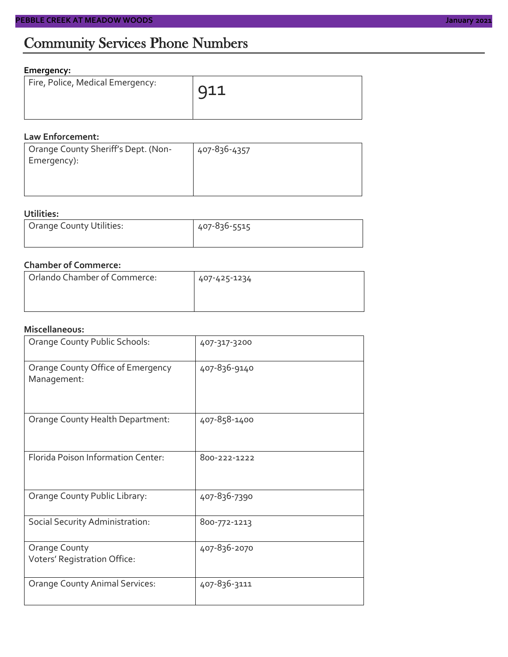#### **Emergency:**

| Fire, Police, Medical Emergency: | $\sqrt{911}$ |
|----------------------------------|--------------|
|                                  |              |

#### **Law Enforcement:**

| Orange County Sheriff's Dept. (Non- | 407-836-4357 |
|-------------------------------------|--------------|
| Emergency):                         |              |
|                                     |              |
|                                     |              |

#### **Utilities:**

| Orange County Utilities: | 407-836-5515 |  |  |
|--------------------------|--------------|--|--|
|                          |              |  |  |

#### **Chamber of Commerce:**

| Orlando Chamber of Commerce: | 407-425-1234 |  |  |
|------------------------------|--------------|--|--|
|                              |              |  |  |

#### **Miscellaneous:**

| Orange County Public Schools:                    | 407-317-3200 |
|--------------------------------------------------|--------------|
| Orange County Office of Emergency<br>Management: | 407-836-9140 |
| Orange County Health Department:                 | 407-858-1400 |
| Florida Poison Information Center:               | 800-222-1222 |
| Orange County Public Library:                    | 407-836-7390 |
| Social Security Administration:                  | 800-772-1213 |
| Orange County<br>Voters' Registration Office:    | 407-836-2070 |
| <b>Orange County Animal Services:</b>            | 407-836-3111 |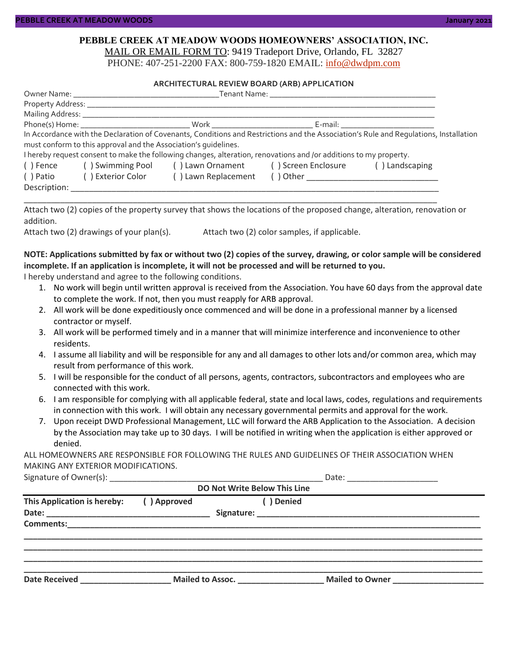#### **PEBBLE CREEK AT MEADOW WOODS HOMEOWNERS' ASSOCIATION, INC.** MAIL OR EMAIL FORM TO: 9419 Tradeport Drive, Orlando, FL 32827

PHONE: 407-251-2200 FAX: 800-759-1820 EMAIL: [info@dwdpm.com](mailto:info@dwdpm.com)

#### **ARCHITECTURAL REVIEW BOARD (ARB) APPLICATION**

|                                |                                                                 |                                                                                                                   | Tenant Name: The contract of the contract of the contract of the contract of the contract of the contract of the contract of the contract of the contract of the contract of the contract of the contract of the contract of t |                                                                                                                                       |
|--------------------------------|-----------------------------------------------------------------|-------------------------------------------------------------------------------------------------------------------|--------------------------------------------------------------------------------------------------------------------------------------------------------------------------------------------------------------------------------|---------------------------------------------------------------------------------------------------------------------------------------|
|                                |                                                                 |                                                                                                                   |                                                                                                                                                                                                                                |                                                                                                                                       |
| Mailing Address: _____________ |                                                                 |                                                                                                                   |                                                                                                                                                                                                                                |                                                                                                                                       |
|                                |                                                                 |                                                                                                                   | E-mail: E-mail: E-mail: E-mail: E-mail: E-mail: E-mail: E-mail: E-mail: E-mail: E-mail: E-mail: E-mail: E-mail: E-mail: E-mail: E-mail: E-mail: E-mail: E-mail: E-mail: E-mail: E-mail: E-mail: E-mail: E-mail: E-mail: E-mail |                                                                                                                                       |
|                                |                                                                 |                                                                                                                   |                                                                                                                                                                                                                                | In Accordance with the Declaration of Covenants, Conditions and Restrictions and the Association's Rule and Regulations, Installation |
|                                | must conform to this approval and the Association's quidelines. |                                                                                                                   |                                                                                                                                                                                                                                |                                                                                                                                       |
|                                |                                                                 | I hereby request consent to make the following changes, alteration, renovations and /or additions to my property. |                                                                                                                                                                                                                                |                                                                                                                                       |
| ( ) Fence                      | () Swimming Pool () Lawn Ornament () Screen Enclosure           |                                                                                                                   | () Landscaping                                                                                                                                                                                                                 |                                                                                                                                       |
| ( ) Patio                      | () Exterior Color                                               | () Lawn Replacement                                                                                               |                                                                                                                                                                                                                                |                                                                                                                                       |
| Description:                   |                                                                 |                                                                                                                   |                                                                                                                                                                                                                                |                                                                                                                                       |

Attach two (2) copies of the property survey that shows the locations of the proposed change, alteration, renovation or addition.

\_\_\_\_\_\_\_\_\_\_\_\_\_\_\_\_\_\_\_\_\_\_\_\_\_\_\_\_\_\_\_\_\_\_\_\_\_\_\_\_\_\_\_\_\_\_\_\_\_\_\_\_\_\_\_\_\_\_\_\_\_\_\_\_\_\_\_\_\_\_\_\_\_\_\_\_\_\_\_\_\_\_\_\_\_\_\_\_\_\_\_

Attach two (2) drawings of your plan(s). Attach two (2) color samples, if applicable.

#### **NOTE: Applications submitted by fax or without two (2) copies of the survey, drawing, or color sample will be considered incomplete. If an application is incomplete, it will not be processed and will be returned to you.**

I hereby understand and agree to the following conditions.

- 1. No work will begin until written approval is received from the Association. You have 60 days from the approval date to complete the work. If not, then you must reapply for ARB approval.
- 2. All work will be done expeditiously once commenced and will be done in a professional manner by a licensed contractor or myself.
- 3. All work will be performed timely and in a manner that will minimize interference and inconvenience to other residents.
- 4. I assume all liability and will be responsible for any and all damages to other lots and/or common area, which may result from performance of this work.
- 5. I will be responsible for the conduct of all persons, agents, contractors, subcontractors and employees who are connected with this work.
- 6. I am responsible for complying with all applicable federal, state and local laws, codes, regulations and requirements in connection with this work. I will obtain any necessary governmental permits and approval for the work.
- 7. Upon receipt DWD Professional Management, LLC will forward the ARB Application to the Association. A decision by the Association may take up to 30 days. I will be notified in writing when the application is either approved or denied.

ALL HOMEOWNERS ARE RESPONSIBLE FOR FOLLOWING THE RULES AND GUIDELINES OF THEIR ASSOCIATION WHEN MAKING ANY EXTERIOR MODIFICATIONS.

| Signature of Owner(s): |  |
|------------------------|--|
|------------------------|--|

| <b>DO Not Write Below This Line</b> |             |                                          |                                                    |  |  |
|-------------------------------------|-------------|------------------------------------------|----------------------------------------------------|--|--|
| This Application is hereby:         | () Approved | ( ) Denied                               |                                                    |  |  |
| <b>Comments:</b>                    |             |                                          |                                                    |  |  |
| <b>Date Received</b>                |             | <b>Mailed to Assoc.</b> Mailed to Assoc. | <b>Mailed to Owner</b> Mail <b>Mailed to Owner</b> |  |  |